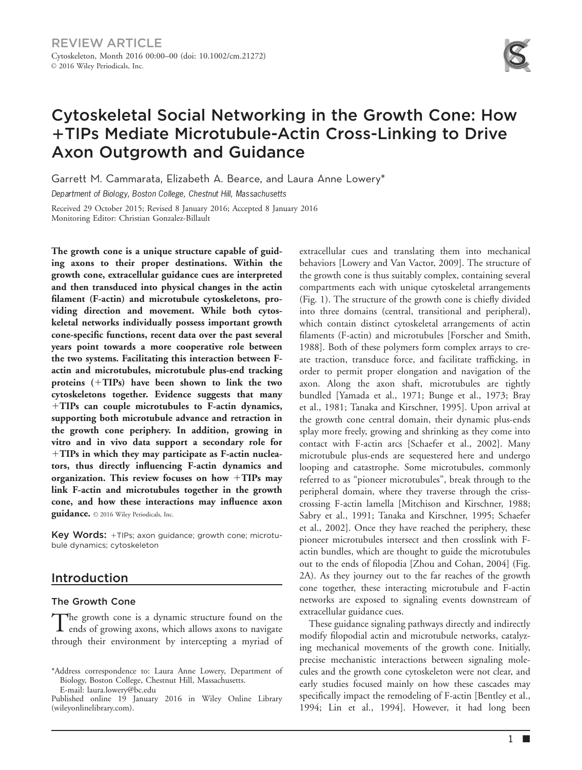

# Cytoskeletal Social Networking in the Growth Cone: How +TIPs Mediate Microtubule-Actin Cross-Linking to Drive Axon Outgrowth and Guidance

Garrett M. Cammarata, Elizabeth A. Bearce, and Laura Anne Lowery\*

Department of Biology, Boston College, Chestnut Hill, Massachusetts

Received 29 October 2015; Revised 8 January 2016; Accepted 8 January 2016 Monitoring Editor: Christian Gonzalez-Billault

The growth cone is a unique structure capable of guiding axons to their proper destinations. Within the growth cone, extracellular guidance cues are interpreted and then transduced into physical changes in the actin filament (F-actin) and microtubule cytoskeletons, providing direction and movement. While both cytoskeletal networks individually possess important growth cone-specific functions, recent data over the past several years point towards a more cooperative role between the two systems. Facilitating this interaction between Factin and microtubules, microtubule plus-end tracking proteins  $(+TIPs)$  have been shown to link the two cytoskeletons together. Evidence suggests that many 1TIPs can couple microtubules to F-actin dynamics, supporting both microtubule advance and retraction in the growth cone periphery. In addition, growing in vitro and in vivo data support a secondary role for  $+$ TIPs in which they may participate as F-actin nucleators, thus directly influencing F-actin dynamics and organization. This review focuses on how  $+TIPs$  may link F-actin and microtubules together in the growth cone, and how these interactions may influence axon guidance.  $© 2016$  Wiley Periodicals, Inc.

**Key Words:**  $+TIPs$ ; axon guidance; growth cone; microtubule dynamics; cytoskeleton

## Introduction

#### The Growth Cone

The growth cone is a dynamic structure found on the ends of growing axons, which allows axons to navigate through their environment by intercepting a myriad of extracellular cues and translating them into mechanical behaviors [Lowery and Van Vactor, 2009]. The structure of the growth cone is thus suitably complex, containing several compartments each with unique cytoskeletal arrangements (Fig. 1). The structure of the growth cone is chiefly divided into three domains (central, transitional and peripheral), which contain distinct cytoskeletal arrangements of actin filaments (F-actin) and microtubules [Forscher and Smith, 1988]. Both of these polymers form complex arrays to create traction, transduce force, and facilitate trafficking, in order to permit proper elongation and navigation of the axon. Along the axon shaft, microtubules are tightly bundled [Yamada et al., 1971; Bunge et al., 1973; Bray et al., 1981; Tanaka and Kirschner, 1995]. Upon arrival at the growth cone central domain, their dynamic plus-ends splay more freely, growing and shrinking as they come into contact with F-actin arcs [Schaefer et al., 2002]. Many microtubule plus-ends are sequestered here and undergo looping and catastrophe. Some microtubules, commonly referred to as "pioneer microtubules", break through to the peripheral domain, where they traverse through the crisscrossing F-actin lamella [Mitchison and Kirschner, 1988; Sabry et al., 1991; Tanaka and Kirschner, 1995; Schaefer et al., 2002]. Once they have reached the periphery, these pioneer microtubules intersect and then crosslink with Factin bundles, which are thought to guide the microtubules out to the ends of filopodia [Zhou and Cohan, 2004] (Fig. 2A). As they journey out to the far reaches of the growth cone together, these interacting microtubule and F-actin networks are exposed to signaling events downstream of extracellular guidance cues.

These guidance signaling pathways directly and indirectly modify filopodial actin and microtubule networks, catalyzing mechanical movements of the growth cone. Initially, precise mechanistic interactions between signaling molecules and the growth cone cytoskeleton were not clear, and early studies focused mainly on how these cascades may specifically impact the remodeling of F-actin [Bentley et al., 1994; Lin et al., 1994]. However, it had long been

<sup>\*</sup>Address correspondence to: Laura Anne Lowery, Department of Biology, Boston College, Chestnut Hill, Massachusetts. E-mail: laura.lowery@bc.edu

Published online 19 January 2016 in Wiley Online Library (wileyonlinelibrary.com).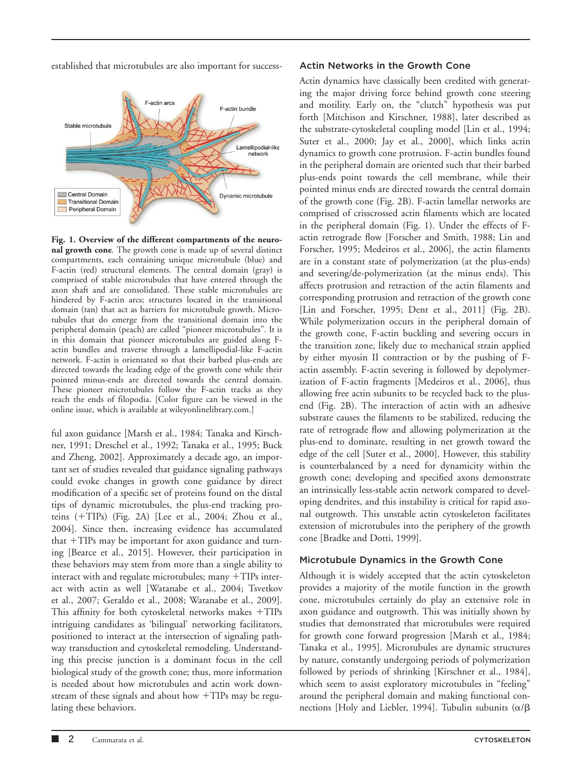established that microtubules are also important for success-



Fig. 1. Overview of the different compartments of the neuronal growth cone. The growth cone is made up of several distinct compartments, each containing unique microtubule (blue) and F-actin (red) structural elements. The central domain (gray) is comprised of stable microtubules that have entered through the axon shaft and are consolidated. These stable microtubules are hindered by F-actin arcs; structures located in the transitional domain (tan) that act as barriers for microtubule growth. Microtubules that do emerge from the transitional domain into the peripheral domain (peach) are called "pioneer microtubules". It is in this domain that pioneer microtubules are guided along Factin bundles and traverse through a lamellipodial-like F-actin network. F-actin is orientated so that their barbed plus-ends are directed towards the leading edge of the growth cone while their pointed minus-ends are directed towards the central domain. These pioneer microtubules follow the F-actin tracks as they reach the ends of filopodia. [Color figure can be viewed in the online issue, which is available at [wileyonlinelibrary.com.](http://wileyonlinelibrary.com)]

ful axon guidance [Marsh et al., 1984; Tanaka and Kirschner, 1991; Dreschel et al., 1992; Tanaka et al., 1995; Buck and Zheng, 2002]. Approximately a decade ago, an important set of studies revealed that guidance signaling pathways could evoke changes in growth cone guidance by direct modification of a specific set of proteins found on the distal tips of dynamic microtubules, the plus-end tracking proteins  $(+TIPs)$  (Fig. 2A) [Lee et al., 2004; Zhou et al., 2004]. Since then, increasing evidence has accumulated that  $+TIPs$  may be important for axon guidance and turning [Bearce et al., 2015]. However, their participation in these behaviors may stem from more than a single ability to interact with and regulate microtubules; many  $+TIPs$  interact with actin as well [Watanabe et al., 2004; Tsvetkov et al., 2007; Geraldo et al., 2008; Watanabe et al., 2009]. This affinity for both cytoskeletal networks makes  $+TIPs$ intriguing candidates as 'bilingual' networking facilitators, positioned to interact at the intersection of signaling pathway transduction and cytoskeletal remodeling. Understanding this precise junction is a dominant focus in the cell biological study of the growth cone; thus, more information is needed about how microtubules and actin work downstream of these signals and about how  $+TIPs$  may be regulating these behaviors.

#### Actin Networks in the Growth Cone

Actin dynamics have classically been credited with generating the major driving force behind growth cone steering and motility. Early on, the "clutch" hypothesis was put forth [Mitchison and Kirschner, 1988], later described as the substrate-cytoskeletal coupling model [Lin et al., 1994; Suter et al., 2000; Jay et al., 2000], which links actin dynamics to growth cone protrusion. F-actin bundles found in the peripheral domain are oriented such that their barbed plus-ends point towards the cell membrane, while their pointed minus ends are directed towards the central domain of the growth cone (Fig. 2B). F-actin lamellar networks are comprised of crisscrossed actin filaments which are located in the peripheral domain (Fig. 1). Under the effects of Factin retrograde flow [Forscher and Smith, 1988; Lin and Forscher, 1995; Medeiros et al., 2006], the actin filaments are in a constant state of polymerization (at the plus-ends) and severing/de-polymerization (at the minus ends). This affects protrusion and retraction of the actin filaments and corresponding protrusion and retraction of the growth cone [Lin and Forscher, 1995; Dent et al., 2011] (Fig. 2B). While polymerization occurs in the peripheral domain of the growth cone, F-actin buckling and severing occurs in the transition zone, likely due to mechanical strain applied by either myosin II contraction or by the pushing of Factin assembly. F-actin severing is followed by depolymerization of F-actin fragments [Medeiros et al., 2006], thus allowing free actin subunits to be recycled back to the plusend (Fig. 2B). The interaction of actin with an adhesive substrate causes the filaments to be stabilized, reducing the rate of retrograde flow and allowing polymerization at the plus-end to dominate, resulting in net growth toward the edge of the cell [Suter et al., 2000]. However, this stability is counterbalanced by a need for dynamicity within the growth cone; developing and specified axons demonstrate an intrinsically less-stable actin network compared to developing dendrites, and this instability is critical for rapid axonal outgrowth. This unstable actin cytoskeleton facilitates extension of microtubules into the periphery of the growth cone [Bradke and Dotti, 1999].

#### Microtubule Dynamics in the Growth Cone

Although it is widely accepted that the actin cytoskeleton provides a majority of the motile function in the growth cone, microtubules certainly do play an extensive role in axon guidance and outgrowth. This was initially shown by studies that demonstrated that microtubules were required for growth cone forward progression [Marsh et al., 1984; Tanaka et al., 1995]. Microtubules are dynamic structures by nature, constantly undergoing periods of polymerization followed by periods of shrinking [Kirschner et al., 1984], which seem to assist exploratory microtubules in "feeling" around the peripheral domain and making functional connections [Holy and Liebler, 1994]. Tubulin subunits  $(\alpha/\beta)$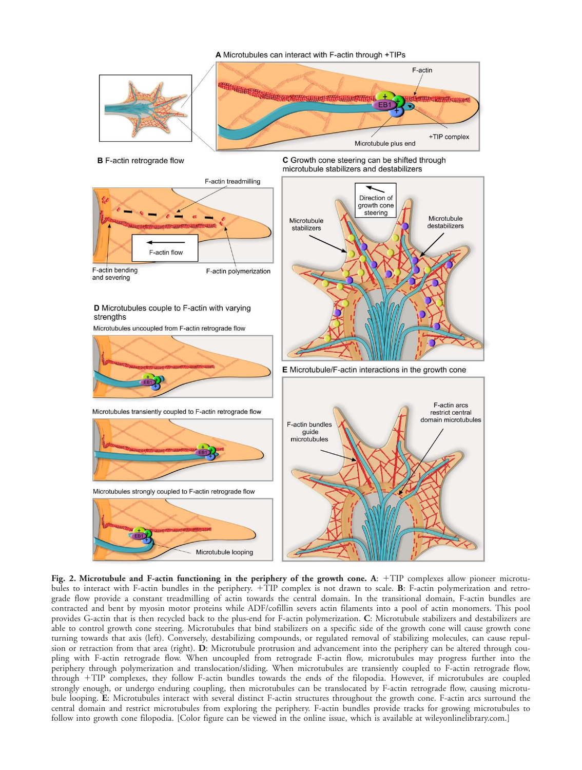A Microtubules can interact with F-actin through +TIPs





Fig. 2. Microtubule and F-actin functioning in the periphery of the growth cone. A: +TIP complexes allow pioneer microtubules to interact with F-actin bundles in the periphery. +TIP complex is not drawn to scale. B: F-actin polymerization and retrograde flow provide a constant treadmilling of actin towards the central domain. In the transitional domain, F-actin bundles are contracted and bent by myosin motor proteins while ADF/cofillin severs actin filaments into a pool of actin monomers. This pool provides G-actin that is then recycled back to the plus-end for F-actin polymerization. C: Microtubule stabilizers and destabilizers are able to control growth cone steering. Microtubules that bind stabilizers on a specific side of the growth cone will cause growth cone turning towards that axis (left). Conversely, destabilizing compounds, or regulated removal of stabilizing molecules, can cause repulsion or retraction from that area (right). D: Microtubule protrusion and advancement into the periphery can be altered through coupling with F-actin retrograde flow. When uncoupled from retrograde F-actin flow, microtubules may progress further into the periphery through polymerization and translocation/sliding. When microtubules are transiently coupled to F-actin retrograde flow, through 1TIP complexes, they follow F-actin bundles towards the ends of the filopodia. However, if microtubules are coupled strongly enough, or undergo enduring coupling, then microtubules can be translocated by F-actin retrograde flow, causing microtubule looping. E: Microtubules interact with several distinct F-actin structures throughout the growth cone. F-actin arcs surround the central domain and restrict microtubules from exploring the periphery. F-actin bundles provide tracks for growing microtubules to follow into growth cone filopodia. [Color figure can be viewed in the online issue, which is available at [wileyonlinelibrary.com](http://wileyonlinelibrary.com).]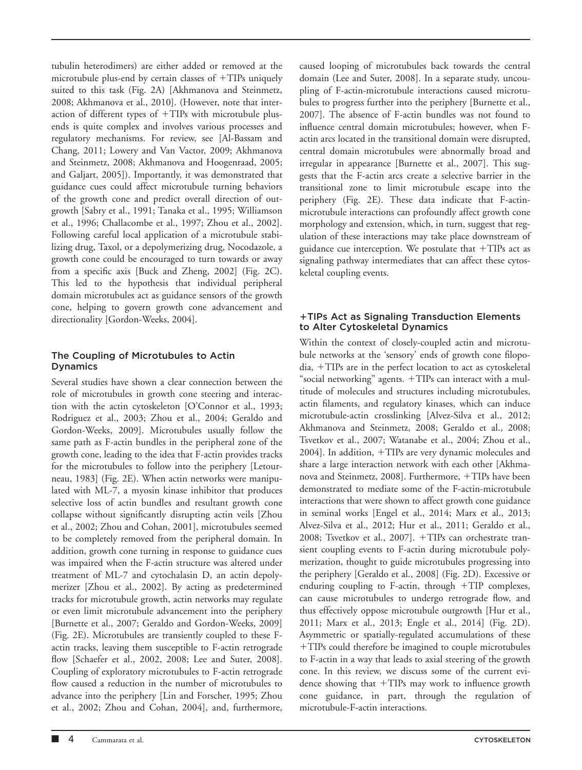tubulin heterodimers) are either added or removed at the microtubule plus-end by certain classes of  $+TIPs$  uniquely suited to this task (Fig. 2A) [Akhmanova and Steinmetz, 2008; Akhmanova et al., 2010]. (However, note that interaction of different types of  $+TIPs$  with microtubule plusends is quite complex and involves various processes and regulatory mechanisms. For review, see [Al-Bassam and Chang, 2011; Lowery and Van Vactor, 2009; Akhmanova and Steinmetz, 2008; Akhmanova and Hoogenraad, 2005; and Galjart, 2005]). Importantly, it was demonstrated that guidance cues could affect microtubule turning behaviors of the growth cone and predict overall direction of outgrowth [Sabry et al., 1991; Tanaka et al., 1995; Williamson et al., 1996; Challacombe et al., 1997; Zhou et al., 2002]. Following careful local application of a microtubule stabilizing drug, Taxol, or a depolymerizing drug, Nocodazole, a growth cone could be encouraged to turn towards or away from a specific axis [Buck and Zheng, 2002] (Fig. 2C). This led to the hypothesis that individual peripheral domain microtubules act as guidance sensors of the growth cone, helping to govern growth cone advancement and directionality [Gordon-Weeks, 2004].

### The Coupling of Microtubules to Actin Dynamics

Several studies have shown a clear connection between the role of microtubules in growth cone steering and interaction with the actin cytoskeleton [O'Connor et al., 1993; Rodriguez et al., 2003; Zhou et al., 2004; Geraldo and Gordon-Weeks, 2009]. Microtubules usually follow the same path as F-actin bundles in the peripheral zone of the growth cone, leading to the idea that F-actin provides tracks for the microtubules to follow into the periphery [Letourneau, 1983] (Fig. 2E). When actin networks were manipulated with ML-7, a myosin kinase inhibitor that produces selective loss of actin bundles and resultant growth cone collapse without significantly disrupting actin veils [Zhou et al., 2002; Zhou and Cohan, 2001], microtubules seemed to be completely removed from the peripheral domain. In addition, growth cone turning in response to guidance cues was impaired when the F-actin structure was altered under treatment of ML-7 and cytochalasin D, an actin depolymerizer [Zhou et al., 2002]. By acting as predetermined tracks for microtubule growth, actin networks may regulate or even limit microtubule advancement into the periphery [Burnette et al., 2007; Geraldo and Gordon-Weeks, 2009] (Fig. 2E). Microtubules are transiently coupled to these Factin tracks, leaving them susceptible to F-actin retrograde flow [Schaefer et al., 2002, 2008; Lee and Suter, 2008]. Coupling of exploratory microtubules to F-actin retrograde flow caused a reduction in the number of microtubules to advance into the periphery [Lin and Forscher, 1995; Zhou et al., 2002; Zhou and Cohan, 2004], and, furthermore, caused looping of microtubules back towards the central domain (Lee and Suter, 2008]. In a separate study, uncoupling of F-actin-microtubule interactions caused microtubules to progress further into the periphery [Burnette et al., 2007]. The absence of F-actin bundles was not found to influence central domain microtubules; however, when Factin arcs located in the transitional domain were disrupted, central domain microtubules were abnormally broad and irregular in appearance [Burnette et al., 2007]. This suggests that the F-actin arcs create a selective barrier in the transitional zone to limit microtubule escape into the periphery (Fig. 2E). These data indicate that F-actinmicrotubule interactions can profoundly affect growth cone morphology and extension, which, in turn, suggest that regulation of these interactions may take place downstream of guidance cue interception. We postulate that  $+TIPs$  act as signaling pathway intermediates that can affect these cytoskeletal coupling events.

### +TIPs Act as Signaling Transduction Elements to Alter Cytoskeletal Dynamics

Within the context of closely-coupled actin and microtubule networks at the 'sensory' ends of growth cone filopodia, +TIPs are in the perfect location to act as cytoskeletal "social networking" agents. +TIPs can interact with a multitude of molecules and structures including microtubules, actin filaments, and regulatory kinases, which can induce microtubule-actin crosslinking [Alvez-Silva et al., 2012; Akhmanova and Steinmetz, 2008; Geraldo et al., 2008; Tsvetkov et al., 2007; Watanabe et al., 2004; Zhou et al.,  $2004$ ]. In addition,  $+TIPs$  are very dynamic molecules and share a large interaction network with each other [Akhmanova and Steinmetz, 2008]. Furthermore, +TIPs have been demonstrated to mediate some of the F-actin-microtubule interactions that were shown to affect growth cone guidance in seminal works [Engel et al., 2014; Marx et al., 2013; Alvez-Silva et al., 2012; Hur et al., 2011; Geraldo et al., 2008; Tsvetkov et al., 2007]. +TIPs can orchestrate transient coupling events to F-actin during microtubule polymerization, thought to guide microtubules progressing into the periphery [Geraldo et al., 2008] (Fig. 2D). Excessive or enduring coupling to F-actin, through  $+TIP$  complexes, can cause microtubules to undergo retrograde flow, and thus effectively oppose microtubule outgrowth [Hur et al., 2011; Marx et al., 2013; Engle et al., 2014] (Fig. 2D). Asymmetric or spatially-regulated accumulations of these 1TIPs could therefore be imagined to couple microtubules to F-actin in a way that leads to axial steering of the growth cone. In this review, we discuss some of the current evidence showing that  $+TIPs$  may work to influence growth cone guidance, in part, through the regulation of microtubule-F-actin interactions.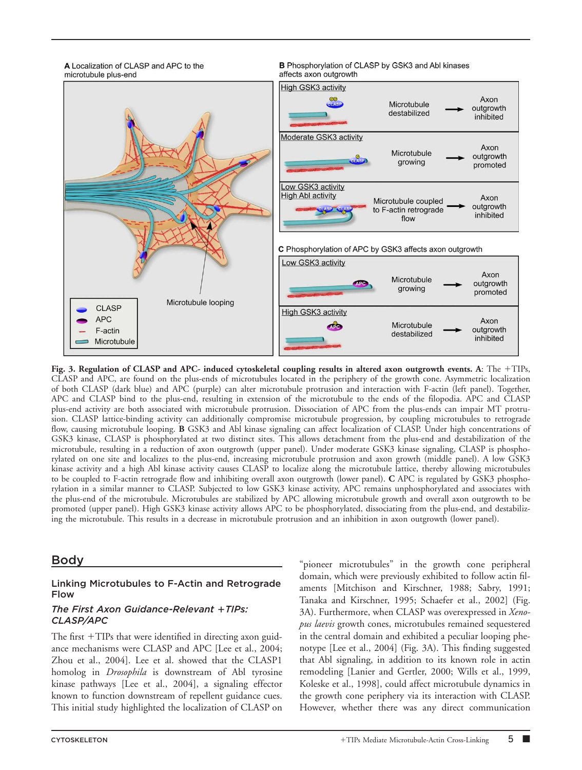

Fig. 3. Regulation of CLASP and APC- induced cytoskeletal coupling results in altered axon outgrowth events. A: The  $+$ TIPs, CLASP and APC, are found on the plus-ends of microtubules located in the periphery of the growth cone. Asymmetric localization of both CLASP (dark blue) and APC (purple) can alter microtubule protrusion and interaction with F-actin (left panel). Together, APC and CLASP bind to the plus-end, resulting in extension of the microtubule to the ends of the filopodia. APC and CLASP plus-end activity are both associated with microtubule protrusion. Dissociation of APC from the plus-ends can impair MT protrusion. CLASP lattice-binding activity can additionally compromise microtubule progression, by coupling microtubules to retrograde flow, causing microtubule looping. B GSK3 and Abl kinase signaling can affect localization of CLASP. Under high concentrations of GSK3 kinase, CLASP is phosphorylated at two distinct sites. This allows detachment from the plus-end and destabilization of the microtubule, resulting in a reduction of axon outgrowth (upper panel). Under moderate GSK3 kinase signaling, CLASP is phosphorylated on one site and localizes to the plus-end, increasing microtubule protrusion and axon growth (middle panel). A low GSK3 kinase activity and a high Abl kinase activity causes CLASP to localize along the microtubule lattice, thereby allowing microtubules to be coupled to F-actin retrograde flow and inhibiting overall axon outgrowth (lower panel). C APC is regulated by GSK3 phosphorylation in a similar manner to CLASP. Subjected to low GSK3 kinase activity, APC remains unphosphorylated and associates with the plus-end of the microtubule. Microtubules are stabilized by APC allowing microtubule growth and overall axon outgrowth to be promoted (upper panel). High GSK3 kinase activity allows APC to be phosphorylated, dissociating from the plus-end, and destabilizing the microtubule. This results in a decrease in microtubule protrusion and an inhibition in axon outgrowth (lower panel).

## Body

#### Linking Microtubules to F-Actin and Retrograde Flow

#### The First Axon Guidance-Relevant  $+TIPS$ : CLASP/APC

The first  $+TIPs$  that were identified in directing axon guidance mechanisms were CLASP and APC [Lee et al., 2004; Zhou et al., 2004]. Lee et al. showed that the CLASP1 homolog in Drosophila is downstream of Abl tyrosine kinase pathways [Lee et al., 2004], a signaling effector known to function downstream of repellent guidance cues. This initial study highlighted the localization of CLASP on "pioneer microtubules" in the growth cone peripheral domain, which were previously exhibited to follow actin filaments [Mitchison and Kirschner, 1988; Sabry, 1991; Tanaka and Kirschner, 1995; Schaefer et al., 2002] (Fig. 3A). Furthermore, when CLASP was overexpressed in Xenopus laevis growth cones, microtubules remained sequestered in the central domain and exhibited a peculiar looping phenotype [Lee et al., 2004] (Fig. 3A). This finding suggested that Abl signaling, in addition to its known role in actin remodeling [Lanier and Gertler, 2000; Wills et al., 1999, Koleske et al., 1998], could affect microtubule dynamics in the growth cone periphery via its interaction with CLASP. However, whether there was any direct communication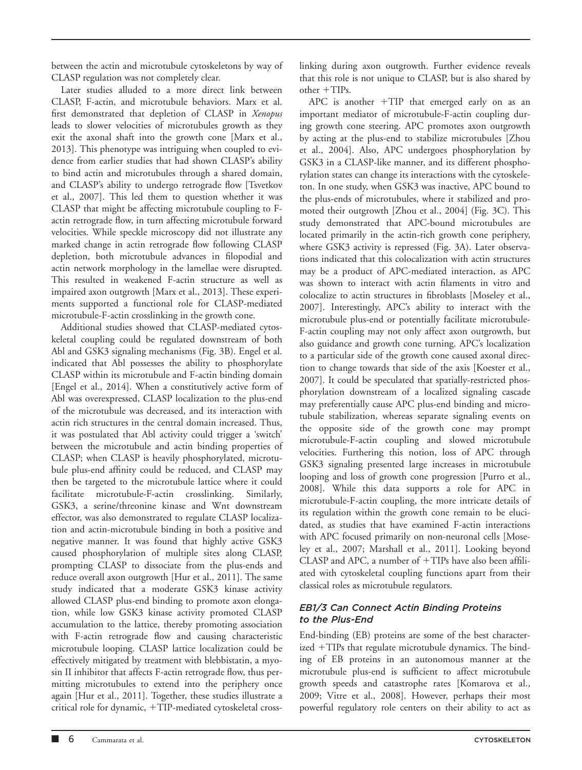between the actin and microtubule cytoskeletons by way of CLASP regulation was not completely clear.

Later studies alluded to a more direct link between CLASP, F-actin, and microtubule behaviors. Marx et al. first demonstrated that depletion of CLASP in Xenopus leads to slower velocities of microtubules growth as they exit the axonal shaft into the growth cone [Marx et al., 2013]. This phenotype was intriguing when coupled to evidence from earlier studies that had shown CLASP's ability to bind actin and microtubules through a shared domain, and CLASP's ability to undergo retrograde flow [Tsvetkov et al., 2007]. This led them to question whether it was CLASP that might be affecting microtubule coupling to Factin retrograde flow, in turn affecting microtubule forward velocities. While speckle microscopy did not illustrate any marked change in actin retrograde flow following CLASP depletion, both microtubule advances in filopodial and actin network morphology in the lamellae were disrupted. This resulted in weakened F-actin structure as well as impaired axon outgrowth [Marx et al., 2013]. These experiments supported a functional role for CLASP-mediated microtubule-F-actin crosslinking in the growth cone.

Additional studies showed that CLASP-mediated cytoskeletal coupling could be regulated downstream of both Abl and GSK3 signaling mechanisms (Fig. 3B). Engel et al. indicated that Abl possesses the ability to phosphorylate CLASP within its microtubule and F-actin binding domain [Engel et al., 2014]. When a constitutively active form of Abl was overexpressed, CLASP localization to the plus-end of the microtubule was decreased, and its interaction with actin rich structures in the central domain increased. Thus, it was postulated that Abl activity could trigger a 'switch' between the microtubule and actin binding properties of CLASP; when CLASP is heavily phosphorylated, microtubule plus-end affinity could be reduced, and CLASP may then be targeted to the microtubule lattice where it could facilitate microtubule-F-actin crosslinking. Similarly, GSK3, a serine/threonine kinase and Wnt downstream effector, was also demonstrated to regulate CLASP localization and actin-microtubule binding in both a positive and negative manner. It was found that highly active GSK3 caused phosphorylation of multiple sites along CLASP, prompting CLASP to dissociate from the plus-ends and reduce overall axon outgrowth [Hur et al., 2011]. The same study indicated that a moderate GSK3 kinase activity allowed CLASP plus-end binding to promote axon elongation, while low GSK3 kinase activity promoted CLASP accumulation to the lattice, thereby promoting association with F-actin retrograde flow and causing characteristic microtubule looping. CLASP lattice localization could be effectively mitigated by treatment with blebbistatin, a myosin II inhibitor that affects F-actin retrograde flow, thus permitting microtubules to extend into the periphery once again [Hur et al., 2011]. Together, these studies illustrate a critical role for dynamic, +TIP-mediated cytoskeletal crosslinking during axon outgrowth. Further evidence reveals that this role is not unique to CLASP, but is also shared by other +TIPs.

APC is another  $+TIP$  that emerged early on as an important mediator of microtubule-F-actin coupling during growth cone steering. APC promotes axon outgrowth by acting at the plus-end to stabilize microtubules [Zhou et al., 2004]. Also, APC undergoes phosphorylation by GSK3 in a CLASP-like manner, and its different phosphorylation states can change its interactions with the cytoskeleton. In one study, when GSK3 was inactive, APC bound to the plus-ends of microtubules, where it stabilized and promoted their outgrowth [Zhou et al., 2004] (Fig. 3C). This study demonstrated that APC-bound microtubules are located primarily in the actin-rich growth cone periphery, where GSK3 activity is repressed (Fig. 3A). Later observations indicated that this colocalization with actin structures may be a product of APC-mediated interaction, as APC was shown to interact with actin filaments in vitro and colocalize to actin structures in fibroblasts [Moseley et al., 2007]. Interestingly, APC's ability to interact with the microtubule plus-end or potentially facilitate microtubule-F-actin coupling may not only affect axon outgrowth, but also guidance and growth cone turning. APC's localization to a particular side of the growth cone caused axonal direction to change towards that side of the axis [Koester et al., 2007]. It could be speculated that spatially-restricted phosphorylation downstream of a localized signaling cascade may preferentially cause APC plus-end binding and microtubule stabilization, whereas separate signaling events on the opposite side of the growth cone may prompt microtubule-F-actin coupling and slowed microtubule velocities. Furthering this notion, loss of APC through GSK3 signaling presented large increases in microtubule looping and loss of growth cone progression [Purro et al., 2008]. While this data supports a role for APC in microtubule-F-actin coupling, the more intricate details of its regulation within the growth cone remain to be elucidated, as studies that have examined F-actin interactions with APC focused primarily on non-neuronal cells [Moseley et al., 2007; Marshall et al., 2011]. Looking beyond  $CLASP$  and  $APC$ , a number of  $+TIPS$  have also been affiliated with cytoskeletal coupling functions apart from their classical roles as microtubule regulators.

## EB1/3 Can Connect Actin Binding Proteins to the Plus-End

End-binding (EB) proteins are some of the best characterized  $+TIPs$  that regulate microtubule dynamics. The binding of EB proteins in an autonomous manner at the microtubule plus-end is sufficient to affect microtubule growth speeds and catastrophe rates [Komarova et al., 2009; Vitre et al., 2008]. However, perhaps their most powerful regulatory role centers on their ability to act as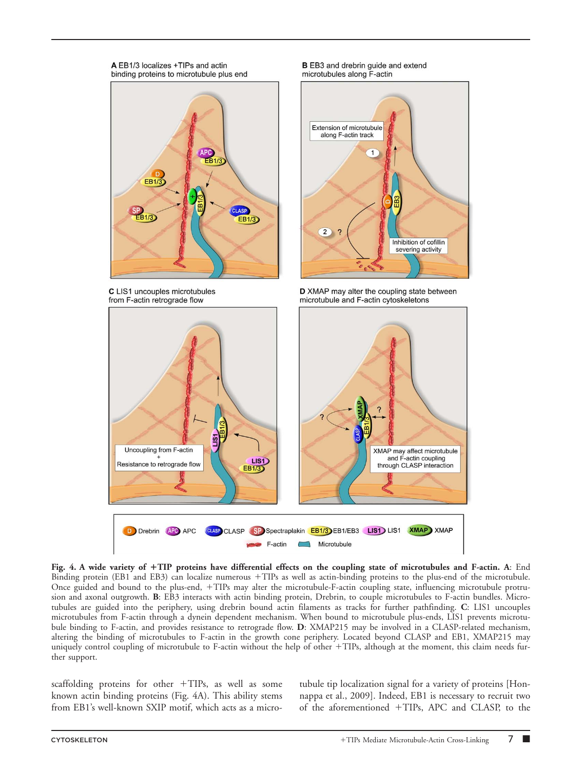A EB1/3 localizes +TIPs and actin binding proteins to microtubule plus end



C LIS1 uncouples microtubules from F-actin retrograde flow

**B** EB3 and drebrin guide and extend microtubules along F-actin



D XMAP may alter the coupling state between microtubule and F-actin cytoskeletons



Fig. 4. A wide variety of 1TIP proteins have differential effects on the coupling state of microtubules and F-actin. A: End Binding protein (EB1 and EB3) can localize numerous +TIPs as well as actin-binding proteins to the plus-end of the microtubule. Once guided and bound to the plus-end,  $+TIPs$  may alter the microtubule-F-actin coupling state, influencing microtubule protrusion and axonal outgrowth. B: EB3 interacts with actin binding protein, Drebrin, to couple microtubules to F-actin bundles. Microtubules are guided into the periphery, using drebrin bound actin filaments as tracks for further pathfinding. C: LIS1 uncouples microtubules from F-actin through a dynein dependent mechanism. When bound to microtubule plus-ends, LIS1 prevents microtubule binding to F-actin, and provides resistance to retrograde flow. D: XMAP215 may be involved in a CLASP-related mechanism, altering the binding of microtubules to F-actin in the growth cone periphery. Located beyond CLASP and EB1, XMAP215 may uniquely control coupling of microtubule to F-actin without the help of other +TIPs, although at the moment, this claim needs further support.

scaffolding proteins for other  $+TIPs$ , as well as some known actin binding proteins (Fig. 4A). This ability stems from EB1's well-known SXIP motif, which acts as a microtubule tip localization signal for a variety of proteins [Honnappa et al., 2009]. Indeed, EB1 is necessary to recruit two of the aforementioned  $+TIPs$ , APC and CLASP, to the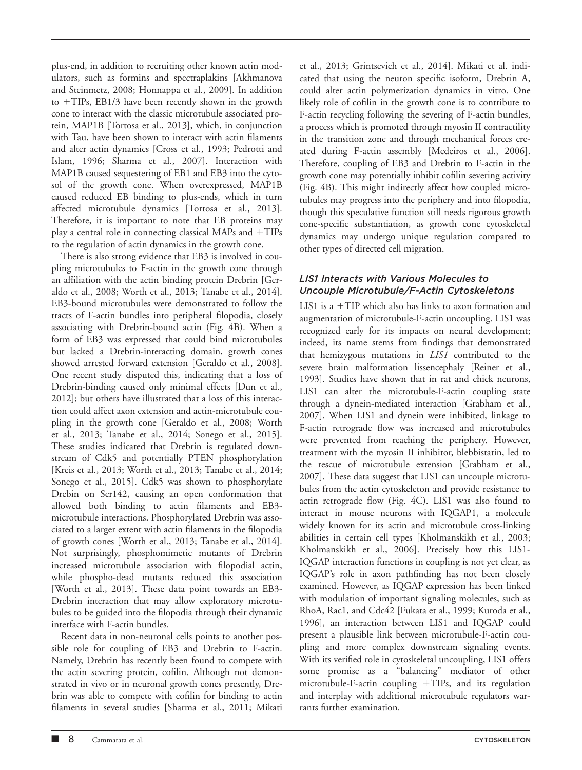plus-end, in addition to recruiting other known actin modulators, such as formins and spectraplakins [Akhmanova and Steinmetz, 2008; Honnappa et al., 2009]. In addition to  $+TIPs$ , EB1/3 have been recently shown in the growth cone to interact with the classic microtubule associated protein, MAP1B [Tortosa et al., 2013], which, in conjunction with Tau, have been shown to interact with actin filaments and alter actin dynamics [Cross et al., 1993; Pedrotti and Islam, 1996; Sharma et al., 2007]. Interaction with MAP1B caused sequestering of EB1 and EB3 into the cytosol of the growth cone. When overexpressed, MAP1B caused reduced EB binding to plus-ends, which in turn affected microtubule dynamics [Tortosa et al., 2013]. Therefore, it is important to note that EB proteins may play a central role in connecting classical MAPs and  $+TIPs$ to the regulation of actin dynamics in the growth cone.

There is also strong evidence that EB3 is involved in coupling microtubules to F-actin in the growth cone through an affiliation with the actin binding protein Drebrin [Geraldo et al., 2008; Worth et al., 2013; Tanabe et al., 2014]. EB3-bound microtubules were demonstrated to follow the tracts of F-actin bundles into peripheral filopodia, closely associating with Drebrin-bound actin (Fig. 4B). When a form of EB3 was expressed that could bind microtubules but lacked a Drebrin-interacting domain, growth cones showed arrested forward extension [Geraldo et al., 2008]. One recent study disputed this, indicating that a loss of Drebrin-binding caused only minimal effects [Dun et al., 2012]; but others have illustrated that a loss of this interaction could affect axon extension and actin-microtubule coupling in the growth cone [Geraldo et al., 2008; Worth et al., 2013; Tanabe et al., 2014; Sonego et al., 2015]. These studies indicated that Drebrin is regulated downstream of Cdk5 and potentially PTEN phosphorylation [Kreis et al., 2013; Worth et al., 2013; Tanabe et al., 2014; Sonego et al., 2015]. Cdk5 was shown to phosphorylate Drebin on Ser142, causing an open conformation that allowed both binding to actin filaments and EB3 microtubule interactions. Phosphorylated Drebrin was associated to a larger extent with actin filaments in the filopodia of growth cones [Worth et al., 2013; Tanabe et al., 2014]. Not surprisingly, phosphomimetic mutants of Drebrin increased microtubule association with filopodial actin, while phospho-dead mutants reduced this association [Worth et al., 2013]. These data point towards an EB3- Drebrin interaction that may allow exploratory microtubules to be guided into the filopodia through their dynamic interface with F-actin bundles.

Recent data in non-neuronal cells points to another possible role for coupling of EB3 and Drebrin to F-actin. Namely, Drebrin has recently been found to compete with the actin severing protein, cofilin. Although not demonstrated in vivo or in neuronal growth cones presently, Drebrin was able to compete with cofilin for binding to actin filaments in several studies [Sharma et al., 2011; Mikati et al., 2013; Grintsevich et al., 2014]. Mikati et al. indicated that using the neuron specific isoform, Drebrin A, could alter actin polymerization dynamics in vitro. One likely role of cofilin in the growth cone is to contribute to F-actin recycling following the severing of F-actin bundles, a process which is promoted through myosin II contractility in the transition zone and through mechanical forces created during F-actin assembly [Medeiros et al., 2006]. Therefore, coupling of EB3 and Drebrin to F-actin in the growth cone may potentially inhibit cofilin severing activity (Fig. 4B). This might indirectly affect how coupled microtubules may progress into the periphery and into filopodia, though this speculative function still needs rigorous growth cone-specific substantiation, as growth cone cytoskeletal dynamics may undergo unique regulation compared to other types of directed cell migration.

## LIS1 Interacts with Various Molecules to Uncouple Microtubule/F-Actin Cytoskeletons

LIS1 is a  $+TIP$  which also has links to axon formation and augmentation of microtubule-F-actin uncoupling. LIS1 was recognized early for its impacts on neural development; indeed, its name stems from findings that demonstrated that hemizygous mutations in LIS1 contributed to the severe brain malformation lissencephaly [Reiner et al., 1993]. Studies have shown that in rat and chick neurons, LIS1 can alter the microtubule-F-actin coupling state through a dynein-mediated interaction [Grabham et al., 2007]. When LIS1 and dynein were inhibited, linkage to F-actin retrograde flow was increased and microtubules were prevented from reaching the periphery. However, treatment with the myosin II inhibitor, blebbistatin, led to the rescue of microtubule extension [Grabham et al., 2007]. These data suggest that LIS1 can uncouple microtubules from the actin cytoskeleton and provide resistance to actin retrograde flow (Fig. 4C). LIS1 was also found to interact in mouse neurons with IQGAP1, a molecule widely known for its actin and microtubule cross-linking abilities in certain cell types [Kholmanskikh et al., 2003; Kholmanskikh et al., 2006]. Precisely how this LIS1- IQGAP interaction functions in coupling is not yet clear, as IQGAP's role in axon pathfinding has not been closely examined. However, as IQGAP expression has been linked with modulation of important signaling molecules, such as RhoA, Rac1, and Cdc42 [Fukata et al., 1999; Kuroda et al., 1996], an interaction between LIS1 and IQGAP could present a plausible link between microtubule-F-actin coupling and more complex downstream signaling events. With its verified role in cytoskeletal uncoupling, LIS1 offers some promise as a "balancing" mediator of other microtubule-F-actin coupling  $+TIPs$ , and its regulation and interplay with additional microtubule regulators warrants further examination.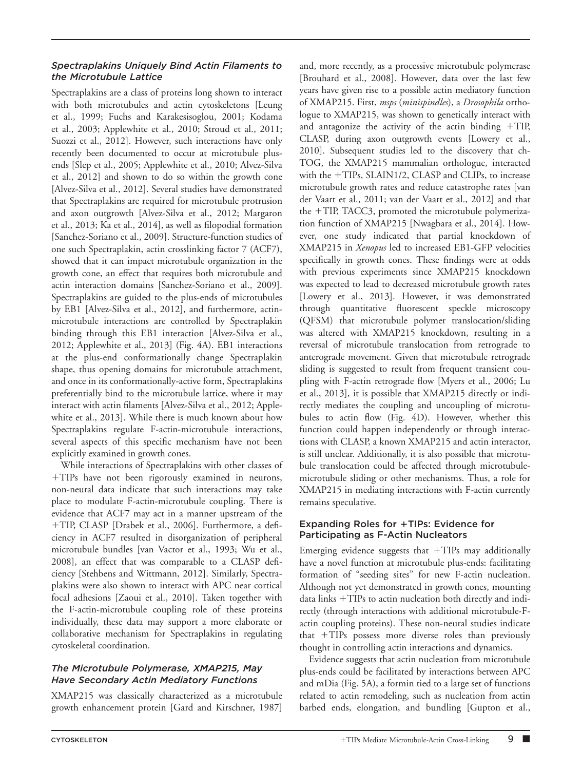### Spectraplakins Uniquely Bind Actin Filaments to the Microtubule Lattice

Spectraplakins are a class of proteins long shown to interact with both microtubules and actin cytoskeletons [Leung et al., 1999; Fuchs and Karakesisoglou, 2001; Kodama et al., 2003; Applewhite et al., 2010; Stroud et al., 2011; Suozzi et al., 2012]. However, such interactions have only recently been documented to occur at microtubule plusends [Slep et al., 2005; Applewhite et al., 2010; Alvez-Silva et al., 2012] and shown to do so within the growth cone [Alvez-Silva et al., 2012]. Several studies have demonstrated that Spectraplakins are required for microtubule protrusion and axon outgrowth [Alvez-Silva et al., 2012; Margaron et al., 2013; Ka et al., 2014], as well as filopodial formation [Sanchez-Soriano et al., 2009]. Structure-function studies of one such Spectraplakin, actin crosslinking factor 7 (ACF7), showed that it can impact microtubule organization in the growth cone, an effect that requires both microtubule and actin interaction domains [Sanchez-Soriano et al., 2009]. Spectraplakins are guided to the plus-ends of microtubules by EB1 [Alvez-Silva et al., 2012], and furthermore, actinmicrotubule interactions are controlled by Spectraplakin binding through this EB1 interaction [Alvez-Silva et al., 2012; Applewhite et al., 2013] (Fig. 4A). EB1 interactions at the plus-end conformationally change Spectraplakin shape, thus opening domains for microtubule attachment, and once in its conformationally-active form, Spectraplakins preferentially bind to the microtubule lattice, where it may interact with actin filaments [Alvez-Silva et al., 2012; Applewhite et al., 2013]. While there is much known about how Spectraplakins regulate F-actin-microtubule interactions, several aspects of this specific mechanism have not been explicitly examined in growth cones.

While interactions of Spectraplakins with other classes of 1TIPs have not been rigorously examined in neurons, non-neural data indicate that such interactions may take place to modulate F-actin-microtubule coupling. There is evidence that ACF7 may act in a manner upstream of the 1TIP, CLASP [Drabek et al., 2006]. Furthermore, a deficiency in ACF7 resulted in disorganization of peripheral microtubule bundles [van Vactor et al., 1993; Wu et al., 2008], an effect that was comparable to a CLASP deficiency [Stehbens and Wittmann, 2012]. Similarly, Spectraplakins were also shown to interact with APC near cortical focal adhesions [Zaoui et al., 2010]. Taken together with the F-actin-microtubule coupling role of these proteins individually, these data may support a more elaborate or collaborative mechanism for Spectraplakins in regulating cytoskeletal coordination.

## The Microtubule Polymerase, XMAP215, May Have Secondary Actin Mediatory Functions

XMAP215 was classically characterized as a microtubule growth enhancement protein [Gard and Kirschner, 1987] and, more recently, as a processive microtubule polymerase [Brouhard et al., 2008]. However, data over the last few years have given rise to a possible actin mediatory function of XMAP215. First, msps (minispindles), a Drosophila orthologue to XMAP215, was shown to genetically interact with and antagonize the activity of the actin binding  $+TIP$ , CLASP, during axon outgrowth events [Lowery et al., 2010]. Subsequent studies led to the discovery that ch-TOG, the XMAP215 mammalian orthologue, interacted with the +TIPs, SLAIN1/2, CLASP and CLIPs, to increase microtubule growth rates and reduce catastrophe rates [van der Vaart et al., 2011; van der Vaart et al., 2012] and that the  $+$ TIP, TACC3, promoted the microtubule polymerization function of XMAP215 [Nwagbara et al., 2014]. However, one study indicated that partial knockdown of XMAP215 in Xenopus led to increased EB1-GFP velocities specifically in growth cones. These findings were at odds with previous experiments since XMAP215 knockdown was expected to lead to decreased microtubule growth rates [Lowery et al., 2013]. However, it was demonstrated through quantitative fluorescent speckle microscopy (QFSM) that microtubule polymer translocation/sliding was altered with XMAP215 knockdown, resulting in a reversal of microtubule translocation from retrograde to anterograde movement. Given that microtubule retrograde sliding is suggested to result from frequent transient coupling with F-actin retrograde flow [Myers et al., 2006; Lu et al., 2013], it is possible that XMAP215 directly or indirectly mediates the coupling and uncoupling of microtubules to actin flow (Fig. 4D). However, whether this function could happen independently or through interactions with CLASP, a known XMAP215 and actin interactor, is still unclear. Additionally, it is also possible that microtubule translocation could be affected through microtubulemicrotubule sliding or other mechanisms. Thus, a role for XMAP215 in mediating interactions with F-actin currently remains speculative.

#### Expanding Roles for +TIPs: Evidence for Participating as F-Actin Nucleators

Emerging evidence suggests that  $+TIPs$  may additionally have a novel function at microtubule plus-ends: facilitating formation of "seeding sites" for new F-actin nucleation. Although not yet demonstrated in growth cones, mounting data links  $+TIPs$  to actin nucleation both directly and indirectly (through interactions with additional microtubule-Factin coupling proteins). These non-neural studies indicate that +TIPs possess more diverse roles than previously thought in controlling actin interactions and dynamics.

Evidence suggests that actin nucleation from microtubule plus-ends could be facilitated by interactions between APC and mDia (Fig. 5A), a formin tied to a large set of functions related to actin remodeling, such as nucleation from actin barbed ends, elongation, and bundling [Gupton et al.,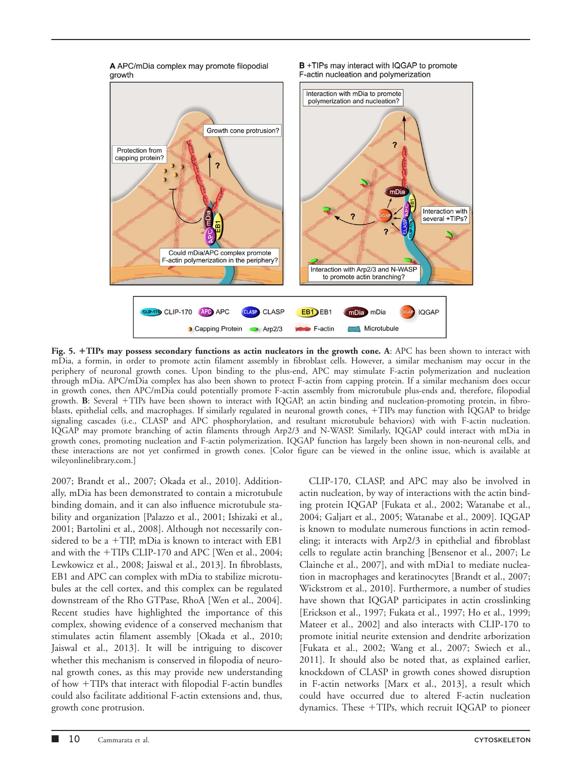

B +TIPs may interact with IQGAP to promote

Fig. 5. +TIPs may possess secondary functions as actin nucleators in the growth cone. A: APC has been shown to interact with mDia, a formin, in order to promote actin filament assembly in fibroblast cells. However, a similar mechanism may occur in the periphery of neuronal growth cones. Upon binding to the plus-end, APC may stimulate F-actin polymerization and nucleation through mDia. APC/mDia complex has also been shown to protect F-actin from capping protein. If a similar mechanism does occur in growth cones, then APC/mDia could potentially promote F-actin assembly from microtubule plus-ends and, therefore, filopodial growth. B: Several  $+TIPs$  have been shown to interact with IQGAP, an actin binding and nucleation-promoting protein, in fibroblasts, epithelial cells, and macrophages. If similarly regulated in neuronal growth cones, 1TIPs may function with IQGAP to bridge signaling cascades (i.e., CLASP and APC phosphorylation, and resultant microtubule behaviors) with with F-actin nucleation. IQGAP may promote branching of actin filaments through Arp2/3 and N-WASP. Similarly, IQGAP could interact with mDia in growth cones, promoting nucleation and F-actin polymerization. IQGAP function has largely been shown in non-neuronal cells, and these interactions are not yet confirmed in growth cones. [Color figure can be viewed in the online issue, which is available at [wileyonlinelibrary.com.](http://wileyonlinelibrary.com)]

2007; Brandt et al., 2007; Okada et al., 2010]. Additionally, mDia has been demonstrated to contain a microtubule binding domain, and it can also influence microtubule stability and organization [Palazzo et al., 2001; Ishizaki et al., 2001; Bartolini et al., 2008]. Although not necessarily considered to be a  $+TIP$ , mDia is known to interact with EB1 and with the +TIPs CLIP-170 and APC [Wen et al., 2004; Lewkowicz et al., 2008; Jaiswal et al., 2013]. In fibroblasts, EB1 and APC can complex with mDia to stabilize microtubules at the cell cortex, and this complex can be regulated downstream of the Rho GTPase, RhoA [Wen et al., 2004]. Recent studies have highlighted the importance of this complex, showing evidence of a conserved mechanism that stimulates actin filament assembly [Okada et al., 2010; Jaiswal et al., 2013]. It will be intriguing to discover whether this mechanism is conserved in filopodia of neuronal growth cones, as this may provide new understanding of how +TIPs that interact with filopodial F-actin bundles could also facilitate additional F-actin extensions and, thus, growth cone protrusion.

A APC/mDia complex may promote filopodial

CLIP-170, CLASP, and APC may also be involved in actin nucleation, by way of interactions with the actin binding protein IQGAP [Fukata et al., 2002; Watanabe et al., 2004; Galjart et al., 2005; Watanabe et al., 2009]. IQGAP is known to modulate numerous functions in actin remodeling; it interacts with Arp2/3 in epithelial and fibroblast cells to regulate actin branching [Bensenor et al., 2007; Le Clainche et al., 2007], and with mDia1 to mediate nucleation in macrophages and keratinocytes [Brandt et al., 2007; Wickstrom et al., 2010]. Furthermore, a number of studies have shown that IQGAP participates in actin crosslinking [Erickson et al., 1997; Fukata et al., 1997; Ho et al., 1999; Mateer et al., 2002] and also interacts with CLIP-170 to promote initial neurite extension and dendrite arborization [Fukata et al., 2002; Wang et al., 2007; Swiech et al., 2011]. It should also be noted that, as explained earlier, knockdown of CLASP in growth cones showed disruption in F-actin networks [Marx et al., 2013], a result which could have occurred due to altered F-actin nucleation dynamics. These  $+TIPs$ , which recruit IQGAP to pioneer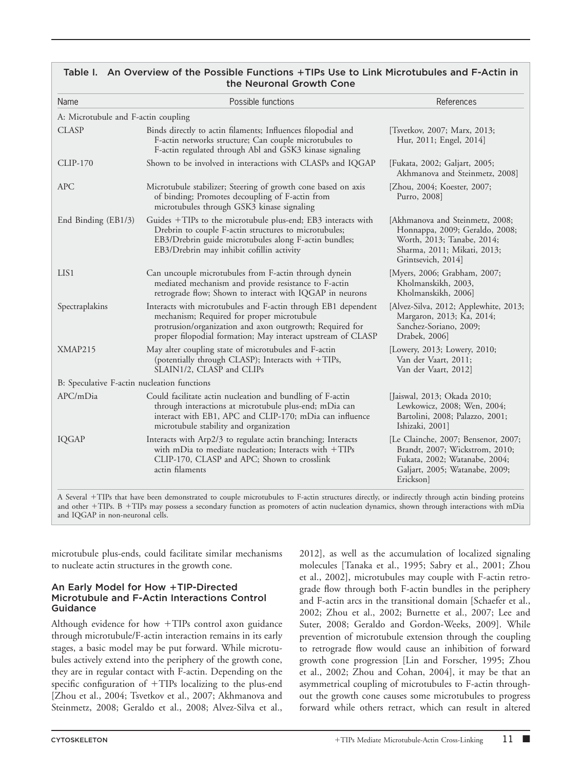| Name                                        | Possible functions                                                                                                                                                                                                                     |                                                                                                                                                       |
|---------------------------------------------|----------------------------------------------------------------------------------------------------------------------------------------------------------------------------------------------------------------------------------------|-------------------------------------------------------------------------------------------------------------------------------------------------------|
|                                             |                                                                                                                                                                                                                                        | References                                                                                                                                            |
| A: Microtubule and F-actin coupling         |                                                                                                                                                                                                                                        |                                                                                                                                                       |
| <b>CLASP</b>                                | Binds directly to actin filaments; Influences filopodial and<br>F-actin networks structure; Can couple microtubules to<br>F-actin regulated through Abl and GSK3 kinase signaling                                                      | [Tsvetkov, 2007; Marx, 2013;<br>Hur, 2011; Engel, 2014]                                                                                               |
| <b>CLIP-170</b>                             | Shown to be involved in interactions with CLASPs and IQGAP                                                                                                                                                                             | [Fukata, 2002; Galjart, 2005;<br>Akhmanova and Steinmetz, 2008]                                                                                       |
| <b>APC</b>                                  | Microtubule stabilizer; Steering of growth cone based on axis<br>of binding; Promotes decoupling of F-actin from<br>microtubules through GSK3 kinase signaling                                                                         | [Zhou, 2004; Koester, 2007;<br>Purro, 2008]                                                                                                           |
| End Binding (EB1/3)                         | Guides +TIPs to the microtubule plus-end; EB3 interacts with<br>Drebrin to couple F-actin structures to microtubules;<br>EB3/Drebrin guide microtubules along F-actin bundles;<br>EB3/Drebrin may inhibit cofillin activity            | [Akhmanova and Steinmetz, 2008;<br>Honnappa, 2009; Geraldo, 2008;<br>Worth, 2013; Tanabe, 2014;<br>Sharma, 2011; Mikati, 2013;<br>Grintsevich, 2014]  |
| LIS1                                        | Can uncouple microtubules from F-actin through dynein<br>mediated mechanism and provide resistance to F-actin<br>retrograde flow; Shown to interact with IQGAP in neurons                                                              | [Myers, 2006; Grabham, 2007;<br>Kholmanskikh, 2003,<br>Kholmanskikh, 2006]                                                                            |
| Spectraplakins                              | Interacts with microtubules and F-actin through EB1 dependent<br>mechanism; Required for proper microtubule<br>protrusion/organization and axon outgrowth; Required for<br>proper filopodial formation; May interact upstream of CLASP | [Alvez-Silva, 2012; Applewhite, 2013;<br>Margaron, 2013; Ka, 2014;<br>Sanchez-Soriano, 2009;<br>Drabek, 2006]                                         |
| XMAP215                                     | May alter coupling state of microtubules and F-actin<br>(potentially through CLASP); Interacts with +TIPs,<br>SLAIN1/2, CLASP and CLIPs                                                                                                | [Lowery, 2013; Lowery, 2010;<br>Van der Vaart, 2011;<br>Van der Vaart, 2012]                                                                          |
| B: Speculative F-actin nucleation functions |                                                                                                                                                                                                                                        |                                                                                                                                                       |
| APC/mDia                                    | Could facilitate actin nucleation and bundling of F-actin<br>through interactions at microtubule plus-end; mDia can<br>interact with EB1, APC and CLIP-170; mDia can influence<br>microtubule stability and organization               | [Jaiswal, 2013; Okada 2010;<br>Lewkowicz, 2008; Wen, 2004;<br>Bartolini, 2008; Palazzo, 2001;<br>Ishizaki, 2001]                                      |
| <b>IQGAP</b>                                | Interacts with Arp2/3 to regulate actin branching; Interacts<br>with mDia to mediate nucleation; Interacts with +TIPs<br>CLIP-170, CLASP and APC; Shown to crosslink<br>actin filaments                                                | [Le Clainche, 2007; Bensenor, 2007;<br>Brandt, 2007; Wickstrom, 2010;<br>Fukata, 2002; Watanabe, 2004;<br>Galjart, 2005; Watanabe, 2009;<br>Erickson] |

### Table I. An Overview of the Possible Functions +TIPs Use to Link Microtubules and F-Actin in the Neuronal Growth Cone

A Several +TIPs that have been demonstrated to couple microtubules to F-actin structures directly, or indirectly through actin binding proteins and other +TIPs. B +TIPs may possess a secondary function as promoters of actin nucleation dynamics, shown through interactions with mDia and IQGAP in non-neuronal cells.

microtubule plus-ends, could facilitate similar mechanisms to nucleate actin structures in the growth cone.

#### An Early Model for How +TIP-Directed Microtubule and F-Actin Interactions Control Guidance

Although evidence for how  $+TIPs$  control axon guidance through microtubule/F-actin interaction remains in its early stages, a basic model may be put forward. While microtubules actively extend into the periphery of the growth cone, they are in regular contact with F-actin. Depending on the specific configuration of  $+TIPs$  localizing to the plus-end [Zhou et al., 2004; Tsvetkov et al., 2007; Akhmanova and Steinmetz, 2008; Geraldo et al., 2008; Alvez-Silva et al., 2012], as well as the accumulation of localized signaling molecules [Tanaka et al., 1995; Sabry et al., 2001; Zhou et al., 2002], microtubules may couple with F-actin retrograde flow through both F-actin bundles in the periphery and F-actin arcs in the transitional domain [Schaefer et al., 2002; Zhou et al., 2002; Burnette et al., 2007; Lee and Suter, 2008; Geraldo and Gordon-Weeks, 2009]. While prevention of microtubule extension through the coupling to retrograde flow would cause an inhibition of forward growth cone progression [Lin and Forscher, 1995; Zhou et al., 2002; Zhou and Cohan, 2004], it may be that an asymmetrical coupling of microtubules to F-actin throughout the growth cone causes some microtubules to progress forward while others retract, which can result in altered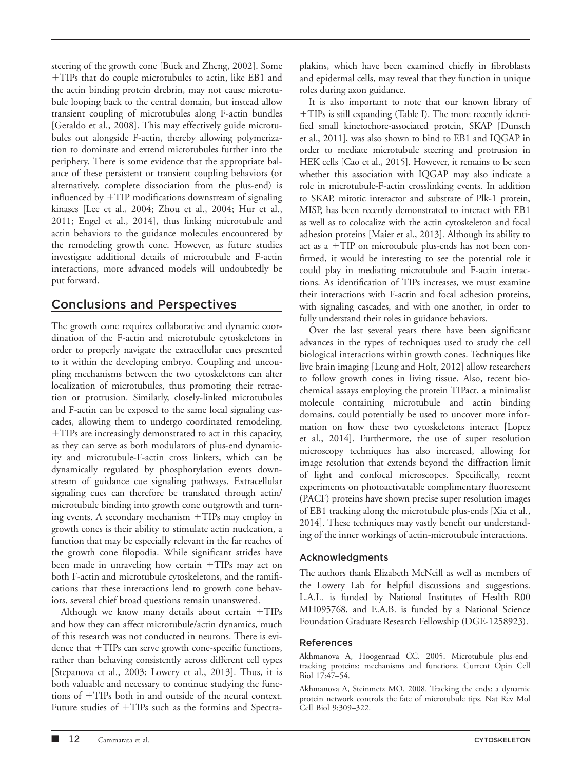steering of the growth cone [Buck and Zheng, 2002]. Some +TIPs that do couple microtubules to actin, like EB1 and the actin binding protein drebrin, may not cause microtubule looping back to the central domain, but instead allow transient coupling of microtubules along F-actin bundles [Geraldo et al., 2008]. This may effectively guide microtubules out alongside F-actin, thereby allowing polymerization to dominate and extend microtubules further into the periphery. There is some evidence that the appropriate balance of these persistent or transient coupling behaviors (or alternatively, complete dissociation from the plus-end) is influenced by  $+TIP$  modifications downstream of signaling kinases [Lee et al., 2004; Zhou et al., 2004; Hur et al., 2011; Engel et al., 2014], thus linking microtubule and actin behaviors to the guidance molecules encountered by the remodeling growth cone. However, as future studies investigate additional details of microtubule and F-actin interactions, more advanced models will undoubtedly be put forward.

## Conclusions and Perspectives

The growth cone requires collaborative and dynamic coordination of the F-actin and microtubule cytoskeletons in order to properly navigate the extracellular cues presented to it within the developing embryo. Coupling and uncoupling mechanisms between the two cytoskeletons can alter localization of microtubules, thus promoting their retraction or protrusion. Similarly, closely-linked microtubules and F-actin can be exposed to the same local signaling cascades, allowing them to undergo coordinated remodeling. 1TIPs are increasingly demonstrated to act in this capacity, as they can serve as both modulators of plus-end dynamicity and microtubule-F-actin cross linkers, which can be dynamically regulated by phosphorylation events downstream of guidance cue signaling pathways. Extracellular signaling cues can therefore be translated through actin/ microtubule binding into growth cone outgrowth and turning events. A secondary mechanism  $+TIPs$  may employ in growth cones is their ability to stimulate actin nucleation, a function that may be especially relevant in the far reaches of the growth cone filopodia. While significant strides have been made in unraveling how certain  $+TIPs$  may act on both F-actin and microtubule cytoskeletons, and the ramifications that these interactions lend to growth cone behaviors, several chief broad questions remain unanswered.

Although we know many details about certain  $+TIPs$ and how they can affect microtubule/actin dynamics, much of this research was not conducted in neurons. There is evidence that +TIPs can serve growth cone-specific functions, rather than behaving consistently across different cell types [Stepanova et al., 2003; Lowery et al., 2013]. Thus, it is both valuable and necessary to continue studying the functions of  $+TIPs$  both in and outside of the neural context. Future studies of  $+TIPs$  such as the formins and Spectraplakins, which have been examined chiefly in fibroblasts and epidermal cells, may reveal that they function in unique roles during axon guidance.

It is also important to note that our known library of 1TIPs is still expanding (Table I). The more recently identified small kinetochore-associated protein, SKAP [Dunsch et al., 2011], was also shown to bind to EB1 and IQGAP in order to mediate microtubule steering and protrusion in HEK cells [Cao et al., 2015]. However, it remains to be seen whether this association with IQGAP may also indicate a role in microtubule-F-actin crosslinking events. In addition to SKAP, mitotic interactor and substrate of Plk-1 protein, MISP, has been recently demonstrated to interact with EB1 as well as to colocalize with the actin cytoskeleton and focal adhesion proteins [Maier et al., 2013]. Although its ability to act as a  $+TIP$  on microtubule plus-ends has not been confirmed, it would be interesting to see the potential role it could play in mediating microtubule and F-actin interactions. As identification of TIPs increases, we must examine their interactions with F-actin and focal adhesion proteins, with signaling cascades, and with one another, in order to fully understand their roles in guidance behaviors.

Over the last several years there have been significant advances in the types of techniques used to study the cell biological interactions within growth cones. Techniques like live brain imaging [Leung and Holt, 2012] allow researchers to follow growth cones in living tissue. Also, recent biochemical assays employing the protein TIPact, a minimalist molecule containing microtubule and actin binding domains, could potentially be used to uncover more information on how these two cytoskeletons interact [Lopez et al., 2014]. Furthermore, the use of super resolution microscopy techniques has also increased, allowing for image resolution that extends beyond the diffraction limit of light and confocal microscopes. Specifically, recent experiments on photoactivatable complimentary fluorescent (PACF) proteins have shown precise super resolution images of EB1 tracking along the microtubule plus-ends [Xia et al., 2014]. These techniques may vastly benefit our understanding of the inner workings of actin-microtubule interactions.

## Acknowledgments

The authors thank Elizabeth McNeill as well as members of the Lowery Lab for helpful discussions and suggestions. L.A.L. is funded by National Institutes of Health R00 MH095768, and E.A.B. is funded by a National Science Foundation Graduate Research Fellowship (DGE-1258923).

### References

Akhmanova A, Hoogenraad CC. 2005. Microtubule plus-endtracking proteins: mechanisms and functions. Current Opin Cell Biol 17:47–54.

Akhmanova A, Steinmetz MO. 2008. Tracking the ends: a dynamic protein network controls the fate of microtubule tips. Nat Rev Mol Cell Biol 9:309–322.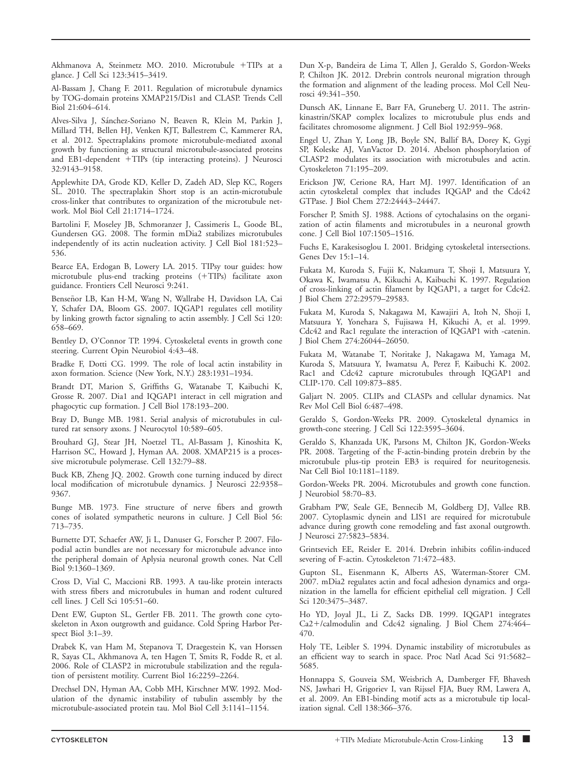Akhmanova A, Steinmetz MO. 2010. Microtubule +TIPs at a glance. J Cell Sci 123:3415–3419.

Al-Bassam J, Chang F. 2011. Regulation of microtubule dynamics by TOG-domain proteins XMAP215/Dis1 and CLASP. Trends Cell Biol 21:604–614.

Alves-Silva J, Sánchez-Soriano N, Beaven R, Klein M, Parkin J, Millard TH, Bellen HJ, Venken KJT, Ballestrem C, Kammerer RA, et al. 2012. Spectraplakins promote microtubule-mediated axonal growth by functioning as structural microtubule-associated proteins and EB1-dependent  $+TIPs$  (tip interacting proteins). J Neurosci 32:9143–9158.

Applewhite DA, Grode KD, Keller D, Zadeh AD, Slep KC, Rogers SL. 2010. The spectraplakin Short stop is an actin-microtubule cross-linker that contributes to organization of the microtubule network. Mol Biol Cell 21:1714–1724.

Bartolini F, Moseley JB, Schmoranzer J, Cassimeris L, Goode BL, Gundersen GG. 2008. The formin mDia2 stabilizes microtubules independently of its actin nucleation activity. J Cell Biol 181:523– 536.

Bearce EA, Erdogan B, Lowery LA. 2015. TIPsy tour guides: how microtubule plus-end tracking proteins (+TIPs) facilitate axon guidance. Frontiers Cell Neurosci 9:241.

Benseñor LB, Kan H-M, Wang N, Wallrabe H, Davidson LA, Cai Y, Schafer DA, Bloom GS. 2007. IQGAP1 regulates cell motility by linking growth factor signaling to actin assembly. J Cell Sci 120: 658–669.

Bentley D, O'Connor TP. 1994. Cytoskeletal events in growth cone steering. Current Opin Neurobiol 4:43–48.

Bradke F, Dotti CG. 1999. The role of local actin instability in axon formation. Science (New York, N.Y.) 283:1931–1934.

Brandt DT, Marion S, Griffiths G, Watanabe T, Kaibuchi K, Grosse R. 2007. Dia1 and IQGAP1 interact in cell migration and phagocytic cup formation. J Cell Biol 178:193–200.

Bray D, Bunge MB. 1981. Serial analysis of microtubules in cultured rat sensory axons. J Neurocytol 10:589–605.

Brouhard GJ, Stear JH, Noetzel TL, Al-Bassam J, Kinoshita K, Harrison SC, Howard J, Hyman AA. 2008. XMAP215 is a processive microtubule polymerase. Cell 132:79–88.

Buck KB, Zheng JQ. 2002. Growth cone turning induced by direct local modification of microtubule dynamics. J Neurosci 22:9358– 9367.

Bunge MB. 1973. Fine structure of nerve fibers and growth cones of isolated sympathetic neurons in culture. J Cell Biol 56: 713–735.

Burnette DT, Schaefer AW, Ji L, Danuser G, Forscher P. 2007. Filopodial actin bundles are not necessary for microtubule advance into the peripheral domain of Aplysia neuronal growth cones. Nat Cell Biol 9:1360–1369.

Cross D, Vial C, Maccioni RB. 1993. A tau-like protein interacts with stress fibers and microtubules in human and rodent cultured cell lines. J Cell Sci 105:51–60.

Dent EW, Gupton SL, Gertler FB. 2011. The growth cone cytoskeleton in Axon outgrowth and guidance. Cold Spring Harbor Perspect Biol 3:1–39.

Drabek K, van Ham M, Stepanova T, Draegestein K, van Horssen R, Sayas CL, Akhmanova A, ten Hagen T, Smits R, Fodde R, et al. 2006. Role of CLASP2 in microtubule stabilization and the regulation of persistent motility. Current Biol 16:2259–2264.

Drechsel DN, Hyman AA, Cobb MH, Kirschner MW. 1992. Modulation of the dynamic instability of tubulin assembly by the microtubule-associated protein tau. Mol Biol Cell 3:1141–1154.

Dun X-p, Bandeira de Lima T, Allen J, Geraldo S, Gordon-Weeks P, Chilton JK. 2012. Drebrin controls neuronal migration through the formation and alignment of the leading process. Mol Cell Neurosci 49:341–350.

Dunsch AK, Linnane E, Barr FA, Gruneberg U. 2011. The astrinkinastrin/SKAP complex localizes to microtubule plus ends and facilitates chromosome alignment. J Cell Biol 192:959–968.

Engel U, Zhan Y, Long JB, Boyle SN, Ballif BA, Dorey K, Gygi SP, Koleske AJ, VanVactor D. 2014. Abelson phosphorylation of CLASP2 modulates its association with microtubules and actin. Cytoskeleton 71:195–209.

Erickson JW, Cerione RA, Hart MJ. 1997. Identification of an actin cytoskeletal complex that includes IQGAP and the Cdc42 GTPase. J Biol Chem 272:24443–24447.

Forscher P, Smith SJ. 1988. Actions of cytochalasins on the organization of actin filaments and microtubules in a neuronal growth cone. J Cell Biol 107:1505–1516.

Fuchs E, Karakesisoglou I. 2001. Bridging cytoskeletal intersections. Genes Dev 15:1–14.

Fukata M, Kuroda S, Fujii K, Nakamura T, Shoji I, Matsuura Y, Okawa K, Iwamatsu A, Kikuchi A, Kaibuchi K. 1997. Regulation of cross-linking of actin filament by IQGAP1, a target for Cdc42. J Biol Chem 272:29579–29583.

Fukata M, Kuroda S, Nakagawa M, Kawajiri A, Itoh N, Shoji I, Matsuura Y, Yonehara S, Fujisawa H, Kikuchi A, et al. 1999. Cdc42 and Rac1 regulate the interaction of IQGAP1 with -catenin. J Biol Chem 274:26044–26050.

Fukata M, Watanabe T, Noritake J, Nakagawa M, Yamaga M, Kuroda S, Matsuura Y, Iwamatsu A, Perez F, Kaibuchi K. 2002. Rac1 and Cdc42 capture microtubules through IQGAP1 and CLIP-170. Cell 109:873–885.

Galjart N. 2005. CLIPs and CLASPs and cellular dynamics. Nat Rev Mol Cell Biol 6:487–498.

Geraldo S, Gordon-Weeks PR. 2009. Cytoskeletal dynamics in growth-cone steering. J Cell Sci 122:3595–3604.

Geraldo S, Khanzada UK, Parsons M, Chilton JK, Gordon-Weeks PR. 2008. Targeting of the F-actin-binding protein drebrin by the microtubule plus-tip protein EB3 is required for neuritogenesis. Nat Cell Biol 10:1181–1189.

Gordon-Weeks PR. 2004. Microtubules and growth cone function. J Neurobiol 58:70–83.

Grabham PW, Seale GE, Bennecib M, Goldberg DJ, Vallee RB. 2007. Cytoplasmic dynein and LIS1 are required for microtubule advance during growth cone remodeling and fast axonal outgrowth. J Neurosci 27:5823–5834.

Grintsevich EE, Reisler E. 2014. Drebrin inhibits cofilin-induced severing of F-actin. Cytoskeleton 71:472–483.

Gupton SL, Eisenmann K, Alberts AS, Waterman-Storer CM. 2007. mDia2 regulates actin and focal adhesion dynamics and organization in the lamella for efficient epithelial cell migration. J Cell Sci 120:3475–3487.

Ho YD, Joyal JL, Li Z, Sacks DB. 1999. IQGAP1 integrates Ca2+/calmodulin and Cdc42 signaling. J Biol Chem 274:464-470.

Holy TE, Leibler S. 1994. Dynamic instability of microtubules as an efficient way to search in space. Proc Natl Acad Sci 91:5682– 5685.

Honnappa S, Gouveia SM, Weisbrich A, Damberger FF, Bhavesh NS, Jawhari H, Grigoriev I, van Rijssel FJA, Buey RM, Lawera A, et al. 2009. An EB1-binding motif acts as a microtubule tip localization signal. Cell 138:366–376.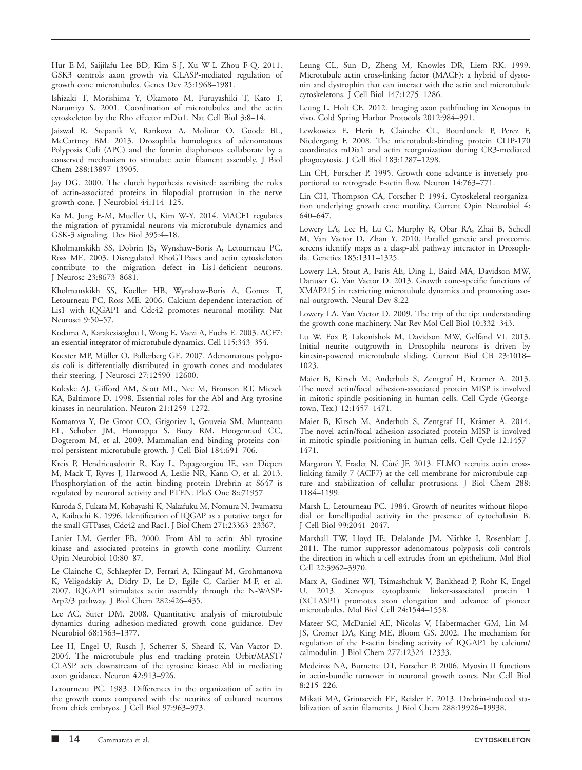Hur E-M, Saijilafu Lee BD, Kim S-J, Xu W-L Zhou F-Q. 2011. GSK3 controls axon growth via CLASP-mediated regulation of growth cone microtubules. Genes Dev 25:1968–1981.

Ishizaki T, Morishima Y, Okamoto M, Furuyashiki T, Kato T, Narumiya S. 2001. Coordination of microtubules and the actin cytoskeleton by the Rho effector mDia1. Nat Cell Biol 3:8–14.

Jaiswal R, Stepanik V, Rankova A, Molinar O, Goode BL, McCartney BM. 2013. Drosophila homologues of adenomatous Polyposis Coli (APC) and the formin diaphanous collaborate by a conserved mechanism to stimulate actin filament assembly. J Biol Chem 288:13897–13905.

Jay DG. 2000. The clutch hypothesis revisited: ascribing the roles of actin-associated proteins in filopodial protrusion in the nerve growth cone. J Neurobiol 44:114–125.

Ka M, Jung E-M, Mueller U, Kim W-Y. 2014. MACF1 regulates the migration of pyramidal neurons via microtubule dynamics and GSK-3 signaling. Dev Biol 395:4–18.

Kholmanskikh SS, Dobrin JS, Wynshaw-Boris A, Letourneau PC, Ross ME. 2003. Disregulated RhoGTPases and actin cytoskeleton contribute to the migration defect in Lis1-deficient neurons. J Neurosc 23:8673–8681.

Kholmanskikh SS, Koeller HB, Wynshaw-Boris A, Gomez T, Letourneau PC, Ross ME. 2006. Calcium-dependent interaction of Lis1 with IQGAP1 and Cdc42 promotes neuronal motility. Nat Neurosci 9:50–57.

Kodama A, Karakesisoglou I, Wong E, Vaezi A, Fuchs E. 2003. ACF7: an essential integrator of microtubule dynamics. Cell 115:343–354.

Koester MP, Müller O, Pollerberg GE. 2007. Adenomatous polyposis coli is differentially distributed in growth cones and modulates their steering. J Neurosci 27:12590–12600.

Koleske AJ, Gifford AM, Scott ML, Nee M, Bronson RT, Miczek KA, Baltimore D. 1998. Essential roles for the Abl and Arg tyrosine kinases in neurulation. Neuron 21:1259–1272.

Komarova Y, De Groot CO, Grigoriev I, Gouveia SM, Munteanu EL, Schober JM, Honnappa S, Buey RM, Hoogenraad CC, Dogterom M, et al. 2009. Mammalian end binding proteins control persistent microtubule growth. J Cell Biol 184:691–706.

Kreis P, Hendricusdottir R, Kay L, Papageorgiou IE, van Diepen M, Mack T, Ryves J, Harwood A, Leslie NR, Kann O, et al. 2013. Phosphorylation of the actin binding protein Drebrin at S647 is regulated by neuronal activity and PTEN. PloS One 8:e71957

Kuroda S, Fukata M, Kobayashi K, Nakafuku M, Nomura N, Iwamatsu A, Kaibuchi K. 1996. Identification of IQGAP as a putative target for the small GTPases, Cdc42 and Rac1. J Biol Chem 271:23363–23367.

Lanier LM, Gertler FB. 2000. From Abl to actin: Abl tyrosine kinase and associated proteins in growth cone motility. Current Opin Neurobiol 10:80–87.

Le Clainche C, Schlaepfer D, Ferrari A, Klingauf M, Grohmanova K, Veligodskiy A, Didry D, Le D, Egile C, Carlier M-F, et al. 2007. IQGAP1 stimulates actin assembly through the N-WASP-Arp2/3 pathway. J Biol Chem 282:426–435.

Lee AC, Suter DM. 2008. Quantitative analysis of microtubule dynamics during adhesion-mediated growth cone guidance. Dev Neurobiol 68:1363–1377.

Lee H, Engel U, Rusch J, Scherrer S, Sheard K, Van Vactor D. 2004. The microtubule plus end tracking protein Orbit/MAST/ CLASP acts downstream of the tyrosine kinase Abl in mediating axon guidance. Neuron 42:913–926.

Letourneau PC. 1983. Differences in the organization of actin in the growth cones compared with the neurites of cultured neurons from chick embryos. J Cell Biol 97:963–973.

Leung CL, Sun D, Zheng M, Knowles DR, Liem RK. 1999. Microtubule actin cross-linking factor (MACF): a hybrid of dystonin and dystrophin that can interact with the actin and microtubule cytoskeletons. J Cell Biol 147:1275–1286.

Leung L, Holt CE. 2012. Imaging axon pathfinding in Xenopus in vivo. Cold Spring Harbor Protocols 2012:984–991.

Lewkowicz E, Herit F, Clainche CL, Bourdoncle P, Perez F, Niedergang F. 2008. The microtubule-binding protein CLIP-170 coordinates mDia1 and actin reorganization during CR3-mediated phagocytosis. J Cell Biol 183:1287–1298.

Lin CH, Forscher P. 1995. Growth cone advance is inversely proportional to retrograde F-actin flow. Neuron 14:763–771.

Lin CH, Thompson CA, Forscher P. 1994. Cytoskeletal reorganization underlying growth cone motility. Current Opin Neurobiol 4: 640–647.

Lowery LA, Lee H, Lu C, Murphy R, Obar RA, Zhai B, Schedl M, Van Vactor D, Zhan Y. 2010. Parallel genetic and proteomic screens identify msps as a clasp-abl pathway interactor in Drosophila. Genetics 185:1311–1325.

Lowery LA, Stout A, Faris AE, Ding L, Baird MA, Davidson MW, Danuser G, Van Vactor D. 2013. Growth cone-specific functions of XMAP215 in restricting microtubule dynamics and promoting axonal outgrowth. Neural Dev 8:22

Lowery LA, Van Vactor D. 2009. The trip of the tip: understanding the growth cone machinery. Nat Rev Mol Cell Biol 10:332–343.

Lu W, Fox P, Lakonishok M, Davidson MW, Gelfand VI. 2013. Initial neurite outgrowth in Drosophila neurons is driven by kinesin-powered microtubule sliding. Current Biol CB 23:1018– 1023.

Maier B, Kirsch M, Anderhub S, Zentgraf H, Kramer A. 2013. The novel actin/focal adhesion-associated protein MISP is involved in mitotic spindle positioning in human cells. Cell Cycle (Georgetown, Tex.) 12:1457–1471.

Maier B, Kirsch M, Anderhub S, Zentgraf H, Krämer A. 2014. The novel actin/focal adhesion-associated protein MISP is involved in mitotic spindle positioning in human cells. Cell Cycle 12:1457– 1471.

Margaron Y, Fradet N, Côté JF. 2013. ELMO recruits actin crosslinking family 7 (ACF7) at the cell membrane for microtubule capture and stabilization of cellular protrusions. J Biol Chem 288: 1184–1199.

Marsh L, Letourneau PC. 1984. Growth of neurites without filopodial or lamellipodial activity in the presence of cytochalasin B. J Cell Biol 99:2041–2047.

Marshall TW, Lloyd IE, Delalande JM, Näthke I, Rosenblatt J. 2011. The tumor suppressor adenomatous polyposis coli controls the direction in which a cell extrudes from an epithelium. Mol Biol Cell 22:3962–3970.

Marx A, Godinez WJ, Tsimashchuk V, Bankhead P, Rohr K, Engel U. 2013. Xenopus cytoplasmic linker-associated protein 1 (XCLASP1) promotes axon elongation and advance of pioneer microtubules. Mol Biol Cell 24:1544–1558.

Mateer SC, McDaniel AE, Nicolas V, Habermacher GM, Lin M-JS, Cromer DA, King ME, Bloom GS. 2002. The mechanism for regulation of the F-actin binding activity of IQGAP1 by calcium/ calmodulin. J Biol Chem 277:12324–12333.

Medeiros NA, Burnette DT, Forscher P. 2006. Myosin II functions in actin-bundle turnover in neuronal growth cones. Nat Cell Biol 8:215–226.

Mikati MA, Grintsevich EE, Reisler E. 2013. Drebrin-induced stabilization of actin filaments. J Biol Chem 288:19926–19938.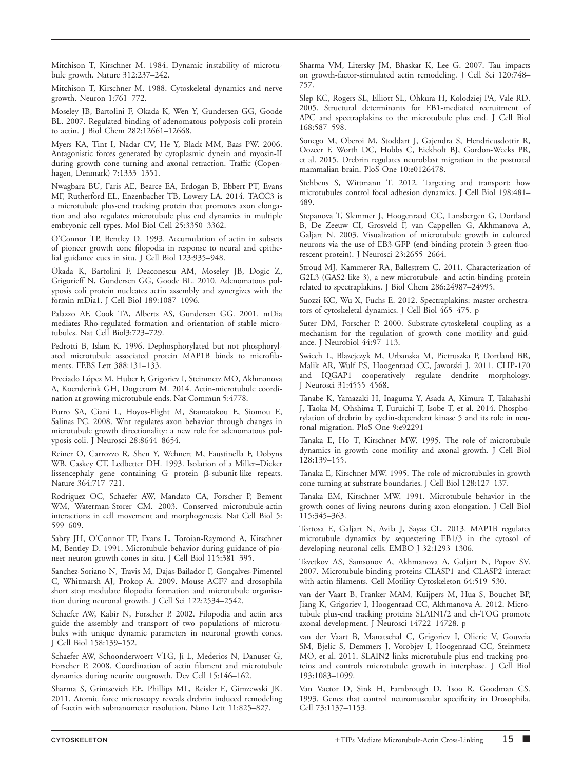Mitchison T, Kirschner M. 1984. Dynamic instability of microtubule growth. Nature 312:237–242.

Mitchison T, Kirschner M. 1988. Cytoskeletal dynamics and nerve growth. Neuron 1:761–772.

Moseley JB, Bartolini F, Okada K, Wen Y, Gundersen GG, Goode BL. 2007. Regulated binding of adenomatous polyposis coli protein to actin. J Biol Chem 282:12661–12668.

Myers KA, Tint I, Nadar CV, He Y, Black MM, Baas PW. 2006. Antagonistic forces generated by cytoplasmic dynein and myosin-II during growth cone turning and axonal retraction. Traffic (Copenhagen, Denmark) 7:1333–1351.

Nwagbara BU, Faris AE, Bearce EA, Erdogan B, Ebbert PT, Evans MF, Rutherford EL, Enzenbacher TB, Lowery LA. 2014. TACC3 is a microtubule plus-end tracking protein that promotes axon elongation and also regulates microtubule plus end dynamics in multiple embryonic cell types. Mol Biol Cell 25:3350–3362.

O'Connor TP, Bentley D. 1993. Accumulation of actin in subsets of pioneer growth cone filopodia in response to neural and epithelial guidance cues in situ. J Cell Biol 123:935–948.

Okada K, Bartolini F, Deaconescu AM, Moseley JB, Dogic Z, Grigorieff N, Gundersen GG, Goode BL. 2010. Adenomatous polyposis coli protein nucleates actin assembly and synergizes with the formin mDia1. J Cell Biol 189:1087–1096.

Palazzo AF, Cook TA, Alberts AS, Gundersen GG. 2001. mDia mediates Rho-regulated formation and orientation of stable microtubules. Nat Cell Biol3:723–729.

Pedrotti B, Islam K. 1996. Dephosphorylated but not phosphorylated microtubule associated protein MAP1B binds to microfilaments. FEBS Lett 388:131–133.

Preciado López M, Huber F, Grigoriev I, Steinmetz MO, Akhmanova A, Koenderink GH, Dogterom M. 2014. Actin-microtubule coordination at growing microtubule ends. Nat Commun 5:4778.

Purro SA, Ciani L, Hoyos-Flight M, Stamatakou E, Siomou E, Salinas PC. 2008. Wnt regulates axon behavior through changes in microtubule growth directionality: a new role for adenomatous polyposis coli. J Neurosci 28:8644–8654.

Reiner O, Carrozzo R, Shen Y, Wehnert M, Faustinella F, Dobyns WB, Caskey CT, Ledbetter DH. 1993. Isolation of a Miller–Dicker lissencephaly gene containing G protein  $\beta$ -subunit-like repeats. Nature 364:717–721.

Rodriguez OC, Schaefer AW, Mandato CA, Forscher P, Bement WM, Waterman-Storer CM. 2003. Conserved microtubule-actin interactions in cell movement and morphogenesis. Nat Cell Biol 5: 599–609.

Sabry JH, O'Connor TP, Evans L, Toroian-Raymond A, Kirschner M, Bentley D. 1991. Microtubule behavior during guidance of pioneer neuron growth cones in situ. J Cell Biol 115:381–395.

Sanchez-Soriano N, Travis M, Dajas-Bailador F, Gonçalves-Pimentel C, Whitmarsh AJ, Prokop A. 2009. Mouse ACF7 and drosophila short stop modulate filopodia formation and microtubule organisation during neuronal growth. J Cell Sci 122:2534–2542.

Schaefer AW, Kabir N, Forscher P. 2002. Filopodia and actin arcs guide the assembly and transport of two populations of microtubules with unique dynamic parameters in neuronal growth cones. J Cell Biol 158:139–152.

Schaefer AW, Schoonderwoert VTG, Ji L, Mederios N, Danuser G, Forscher P. 2008. Coordination of actin filament and microtubule dynamics during neurite outgrowth. Dev Cell 15:146–162.

Sharma S, Grintsevich EE, Phillips ML, Reisler E, Gimzewski JK. 2011. Atomic force microscopy reveals drebrin induced remodeling of f-actin with subnanometer resolution. Nano Lett 11:825–827.

Sharma VM, Litersky JM, Bhaskar K, Lee G. 2007. Tau impacts on growth-factor-stimulated actin remodeling. J Cell Sci 120:748– 757.

Slep KC, Rogers SL, Elliott SL, Ohkura H, Kolodziej PA, Vale RD. 2005. Structural determinants for EB1-mediated recruitment of APC and spectraplakins to the microtubule plus end. J Cell Biol 168:587–598.

Sonego M, Oberoi M, Stoddart J, Gajendra S, Hendricusdottir R, Oozeer F, Worth DC, Hobbs C, Eickholt BJ, Gordon-Weeks PR, et al. 2015. Drebrin regulates neuroblast migration in the postnatal mammalian brain. PloS One 10:e0126478.

Stehbens S, Wittmann T. 2012. Targeting and transport: how microtubules control focal adhesion dynamics. J Cell Biol 198:481– 489.

Stepanova T, Slemmer J, Hoogenraad CC, Lansbergen G, Dortland B, De Zeeuw CI, Grosveld F, van Cappellen G, Akhmanova A, Galjart N. 2003. Visualization of microtubule growth in cultured neurons via the use of EB3-GFP (end-binding protein 3-green fluorescent protein). J Neurosci 23:2655–2664.

Stroud MJ, Kammerer RA, Ballestrem C. 2011. Characterization of G2L3 (GAS2-like 3), a new microtubule- and actin-binding protein related to spectraplakins. J Biol Chem 286:24987–24995.

Suozzi KC, Wu X, Fuchs E. 2012. Spectraplakins: master orchestrators of cytoskeletal dynamics. J Cell Biol 465–475. p

Suter DM, Forscher P. 2000. Substrate-cytoskeletal coupling as a mechanism for the regulation of growth cone motility and guidance. J Neurobiol 44:97–113.

Swiech L, Blazejczyk M, Urbanska M, Pietruszka P, Dortland BR, Malik AR, Wulf PS, Hoogenraad CC, Jaworski J. 2011. CLIP-170 and IQGAP1 cooperatively regulate dendrite morphology. J Neurosci 31:4555–4568.

Tanabe K, Yamazaki H, Inaguma Y, Asada A, Kimura T, Takahashi J, Taoka M, Ohshima T, Furuichi T, Isobe T, et al. 2014. Phosphorylation of drebrin by cyclin-dependent kinase 5 and its role in neuronal migration. PloS One 9:e92291

Tanaka E, Ho T, Kirschner MW. 1995. The role of microtubule dynamics in growth cone motility and axonal growth. J Cell Biol 128:139–155.

Tanaka E, Kirschner MW. 1995. The role of microtubules in growth cone turning at substrate boundaries. J Cell Biol 128:127–137.

Tanaka EM, Kirschner MW. 1991. Microtubule behavior in the growth cones of living neurons during axon elongation. J Cell Biol 115:345–363.

Tortosa E, Galjart N, Avila J, Sayas CL. 2013. MAP1B regulates microtubule dynamics by sequestering EB1/3 in the cytosol of developing neuronal cells. EMBO J 32:1293–1306.

Tsvetkov AS, Samsonov A, Akhmanova A, Galjart N, Popov SV. 2007. Microtubule-binding proteins CLASP1 and CLASP2 interact with actin filaments. Cell Motility Cytoskeleton 64:519–530.

van der Vaart B, Franker MAM, Kuijpers M, Hua S, Bouchet BP, Jiang K, Grigoriev I, Hoogenraad CC, Akhmanova A. 2012. Microtubule plus-end tracking proteins SLAIN1/2 and ch-TOG promote axonal development. J Neurosci 14722–14728. p

van der Vaart B, Manatschal C, Grigoriev I, Olieric V, Gouveia SM, Bjelic S, Demmers J, Vorobjev I, Hoogenraad CC, Steinmetz MO, et al. 2011. SLAIN2 links microtubule plus end-tracking proteins and controls microtubule growth in interphase. J Cell Biol 193:1083–1099.

Van Vactor D, Sink H, Fambrough D, Tsoo R, Goodman CS. 1993. Genes that control neuromuscular specificity in Drosophila. Cell 73:1137–1153.